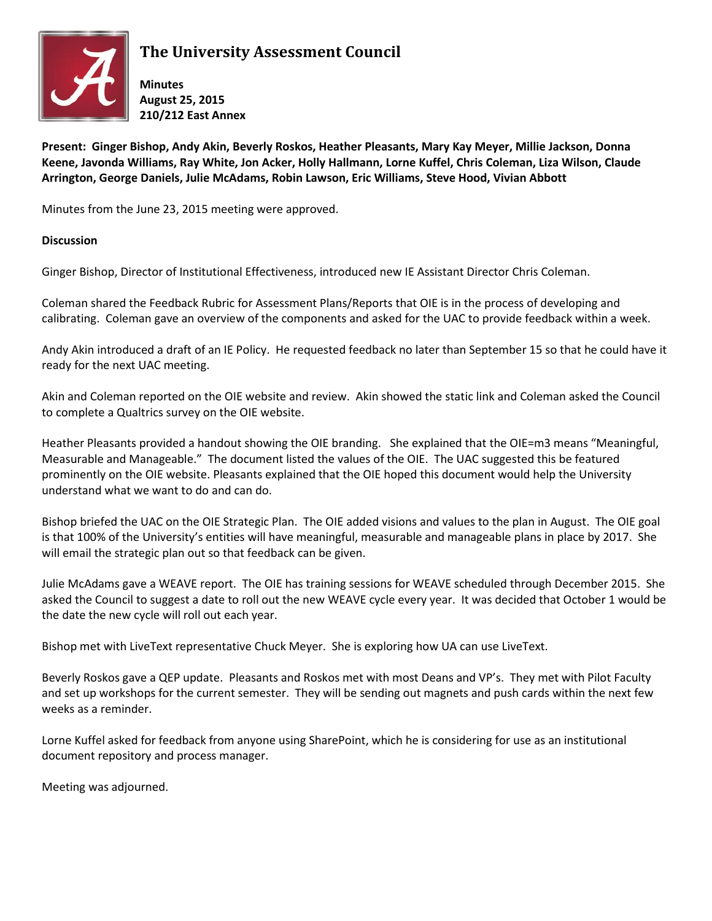

## **The University Assessment Council**

**Minutes August 25, 2015 210/212 East Annex**

**Present: Ginger Bishop, Andy Akin, Beverly Roskos, Heather Pleasants, Mary Kay Meyer, Millie Jackson, Donna Keene, Javonda Williams, Ray White, Jon Acker, Holly Hallmann, Lorne Kuffel, Chris Coleman, Liza Wilson, Claude Arrington, George Daniels, Julie McAdams, Robin Lawson, Eric Williams, Steve Hood, Vivian Abbott**

Minutes from the June 23, 2015 meeting were approved.

## **Discussion**

Ginger Bishop, Director of Institutional Effectiveness, introduced new IE Assistant Director Chris Coleman.

Coleman shared the Feedback Rubric for Assessment Plans/Reports that OIE is in the process of developing and calibrating. Coleman gave an overview of the components and asked for the UAC to provide feedback within a week.

Andy Akin introduced a draft of an IE Policy. He requested feedback no later than September 15 so that he could have it ready for the next UAC meeting.

Akin and Coleman reported on the OIE website and review. Akin showed the static link and Coleman asked the Council to complete a Qualtrics survey on the OIE website.

Heather Pleasants provided a handout showing the OIE branding. She explained that the OIE=m3 means "Meaningful, Measurable and Manageable." The document listed the values of the OIE. The UAC suggested this be featured prominently on the OIE website. Pleasants explained that the OIE hoped this document would help the University understand what we want to do and can do.

Bishop briefed the UAC on the OIE Strategic Plan. The OIE added visions and values to the plan in August. The OIE goal is that 100% of the University's entities will have meaningful, measurable and manageable plans in place by 2017. She will email the strategic plan out so that feedback can be given.

Julie McAdams gave a WEAVE report. The OIE has training sessions for WEAVE scheduled through December 2015. She asked the Council to suggest a date to roll out the new WEAVE cycle every year. It was decided that October 1 would be the date the new cycle will roll out each year.

Bishop met with LiveText representative Chuck Meyer. She is exploring how UA can use LiveText.

Beverly Roskos gave a QEP update. Pleasants and Roskos met with most Deans and VP's. They met with Pilot Faculty and set up workshops for the current semester. They will be sending out magnets and push cards within the next few weeks as a reminder.

Lorne Kuffel asked for feedback from anyone using SharePoint, which he is considering for use as an institutional document repository and process manager.

Meeting was adjourned.